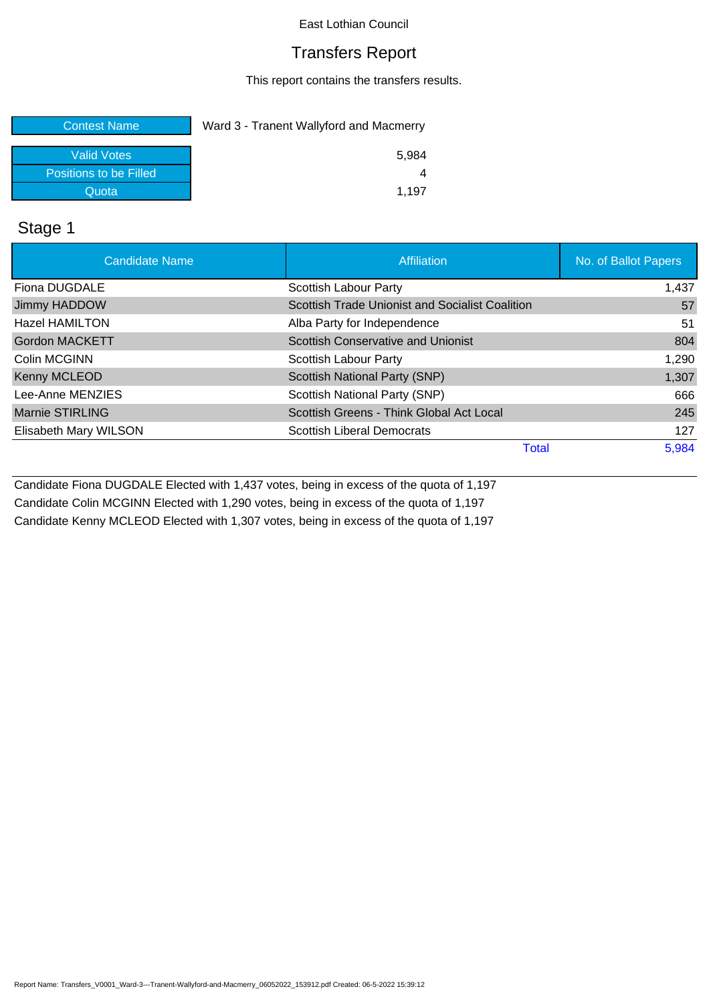### Transfers Report

This report contains the transfers results.

| <b>Contest Name</b>    | Ward 3 - Tranent Wallyford and Macmerry |  |
|------------------------|-----------------------------------------|--|
| <b>Valid Votes</b>     | 5.984                                   |  |
| Positions to be Filled |                                         |  |
| Quota                  | 1.197                                   |  |

## Stage 1

| <b>Candidate Name</b>  | Affiliation                                     | No. of Ballot Papers |
|------------------------|-------------------------------------------------|----------------------|
| Fiona DUGDALE          | Scottish Labour Party                           | 1,437                |
| Jimmy HADDOW           | Scottish Trade Unionist and Socialist Coalition | 57                   |
| <b>Hazel HAMILTON</b>  | Alba Party for Independence                     | 51                   |
| <b>Gordon MACKETT</b>  | <b>Scottish Conservative and Unionist</b>       | 804                  |
| Colin MCGINN           | Scottish Labour Party                           | 1,290                |
| Kenny MCLEOD           | Scottish National Party (SNP)                   | 1,307                |
| Lee-Anne MENZIES       | Scottish National Party (SNP)                   | 666                  |
| <b>Marnie STIRLING</b> | Scottish Greens - Think Global Act Local        | 245                  |
| Elisabeth Mary WILSON  | <b>Scottish Liberal Democrats</b>               | 127                  |
|                        | <b>Total</b>                                    | 5,984                |

Candidate Fiona DUGDALE Elected with 1,437 votes, being in excess of the quota of 1,197 Candidate Colin MCGINN Elected with 1,290 votes, being in excess of the quota of 1,197 Candidate Kenny MCLEOD Elected with 1,307 votes, being in excess of the quota of 1,197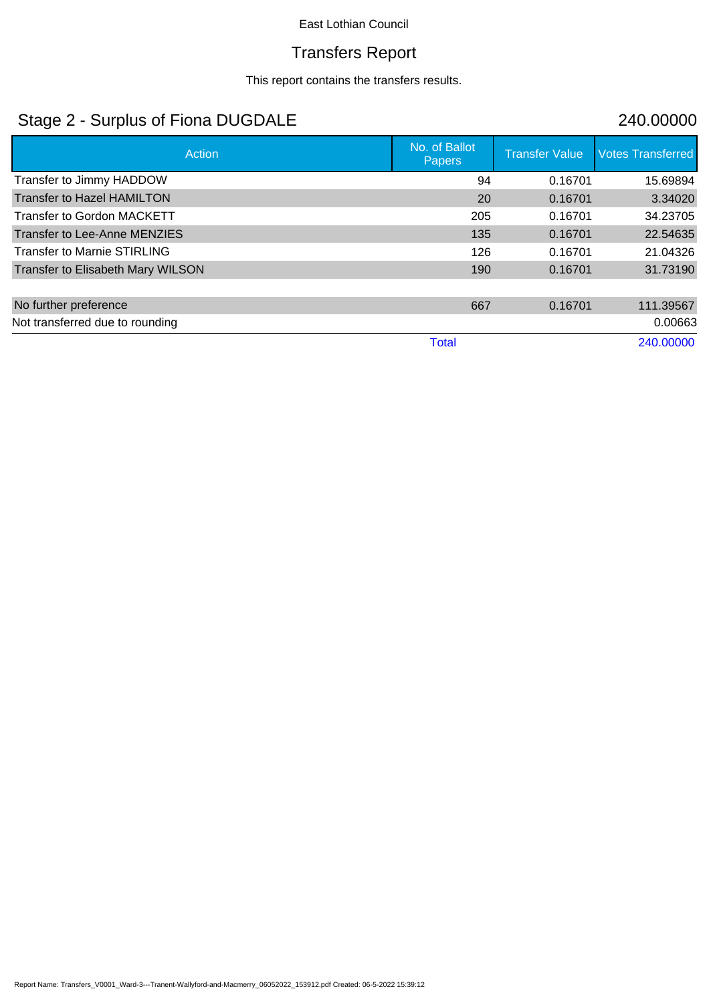# Transfers Report

This report contains the transfers results.

# Stage 2 - Surplus of Fiona DUGDALE 240.00000

| Action                             | No. of Ballot<br>Papers | <b>Transfer Value</b> | <b>Votes Transferred</b> |
|------------------------------------|-------------------------|-----------------------|--------------------------|
| Transfer to Jimmy HADDOW           | 94                      | 0.16701               | 15.69894                 |
| <b>Transfer to Hazel HAMILTON</b>  | 20                      | 0.16701               | 3.34020                  |
| <b>Transfer to Gordon MACKETT</b>  | 205                     | 0.16701               | 34.23705                 |
| Transfer to Lee-Anne MENZIES       | 135                     | 0.16701               | 22.54635                 |
| <b>Transfer to Marnie STIRLING</b> | 126                     | 0.16701               | 21.04326                 |
| Transfer to Elisabeth Mary WILSON  | 190                     | 0.16701               | 31.73190                 |
|                                    |                         |                       |                          |
| No further preference              | 667                     | 0.16701               | 111.39567                |
| Not transferred due to rounding    |                         |                       | 0.00663                  |
|                                    | <b>Total</b>            |                       | 240.00000                |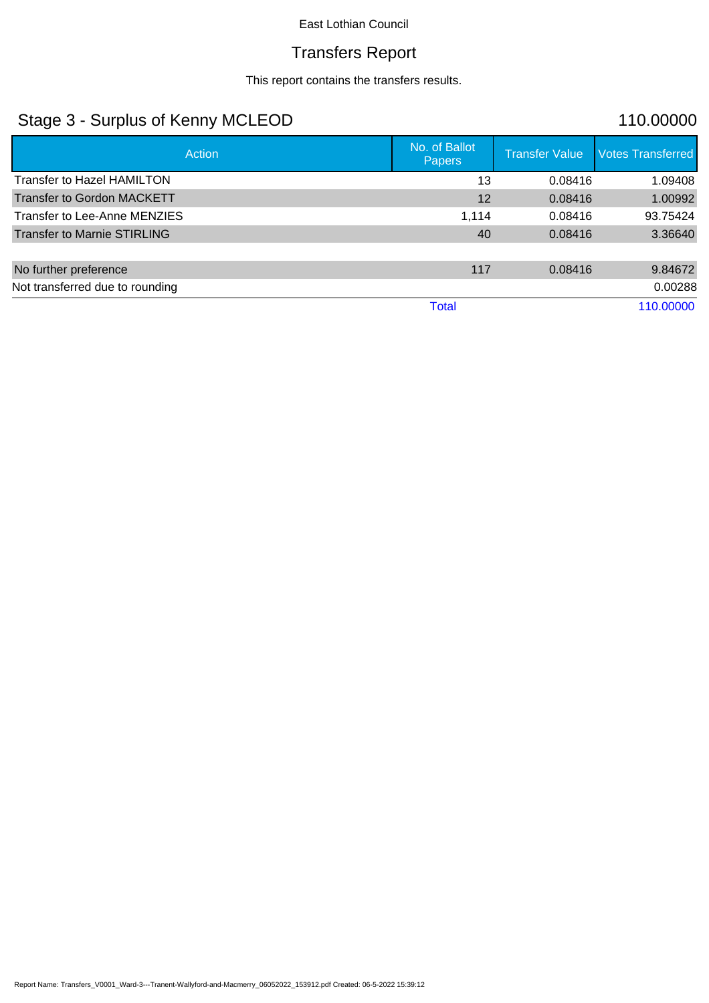## Transfers Report

This report contains the transfers results.

# Stage 3 - Surplus of Kenny MCLEOD 110.00000

|                                    | No. of Ballot |                       |                          |
|------------------------------------|---------------|-----------------------|--------------------------|
| Action                             | <b>Papers</b> | <b>Transfer Value</b> | <b>Votes Transferred</b> |
| <b>Transfer to Hazel HAMILTON</b>  | 13            | 0.08416               | 1.09408                  |
| <b>Transfer to Gordon MACKETT</b>  | 12            | 0.08416               | 1.00992                  |
| Transfer to Lee-Anne MENZIES       | 1,114         | 0.08416               | 93.75424                 |
| <b>Transfer to Marnie STIRLING</b> | 40            | 0.08416               | 3.36640                  |
|                                    |               |                       |                          |
| No further preference              | 117           | 0.08416               | 9.84672                  |
| Not transferred due to rounding    |               |                       | 0.00288                  |
|                                    | <b>Total</b>  |                       | 110.00000                |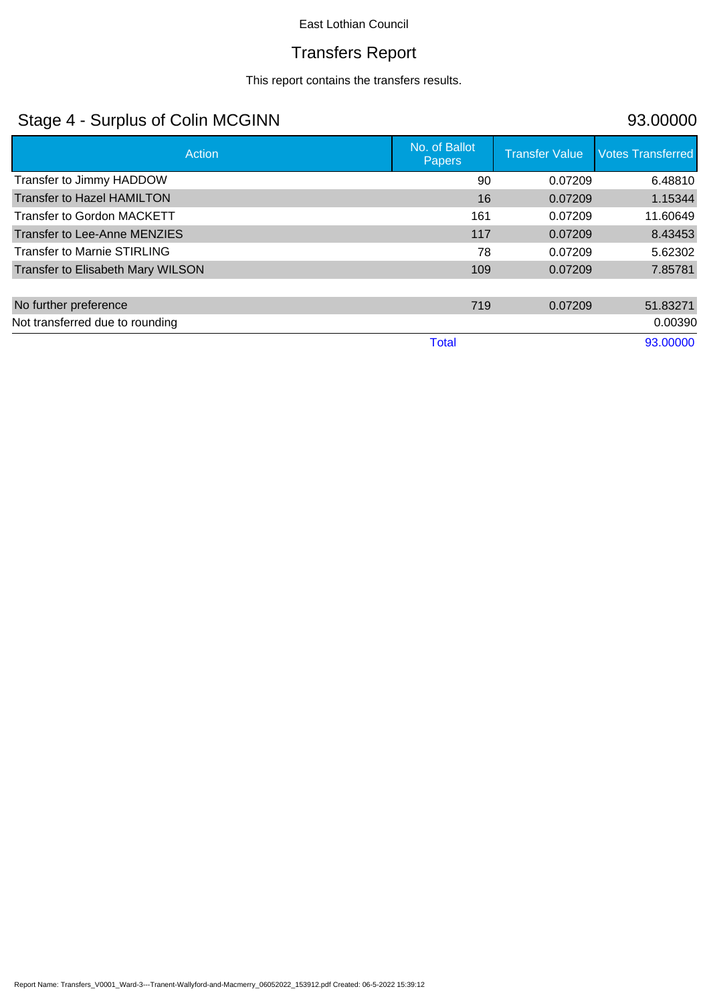# Transfers Report

This report contains the transfers results.

# Stage 4 - Surplus of Colin MCGINN 93.00000

| Action                             | No. of Ballot<br>Papers | <b>Transfer Value</b> | <b>Votes Transferred</b> |
|------------------------------------|-------------------------|-----------------------|--------------------------|
| Transfer to Jimmy HADDOW           | 90                      | 0.07209               | 6.48810                  |
| <b>Transfer to Hazel HAMILTON</b>  | 16                      | 0.07209               | 1.15344                  |
| <b>Transfer to Gordon MACKETT</b>  | 161                     | 0.07209               | 11.60649                 |
| Transfer to Lee-Anne MENZIES       | 117                     | 0.07209               | 8.43453                  |
| <b>Transfer to Marnie STIRLING</b> | 78                      | 0.07209               | 5.62302                  |
| Transfer to Elisabeth Mary WILSON  | 109                     | 0.07209               | 7.85781                  |
|                                    |                         |                       |                          |
| No further preference              | 719                     | 0.07209               | 51.83271                 |
| Not transferred due to rounding    |                         |                       | 0.00390                  |
|                                    | <b>Total</b>            |                       | 93.00000                 |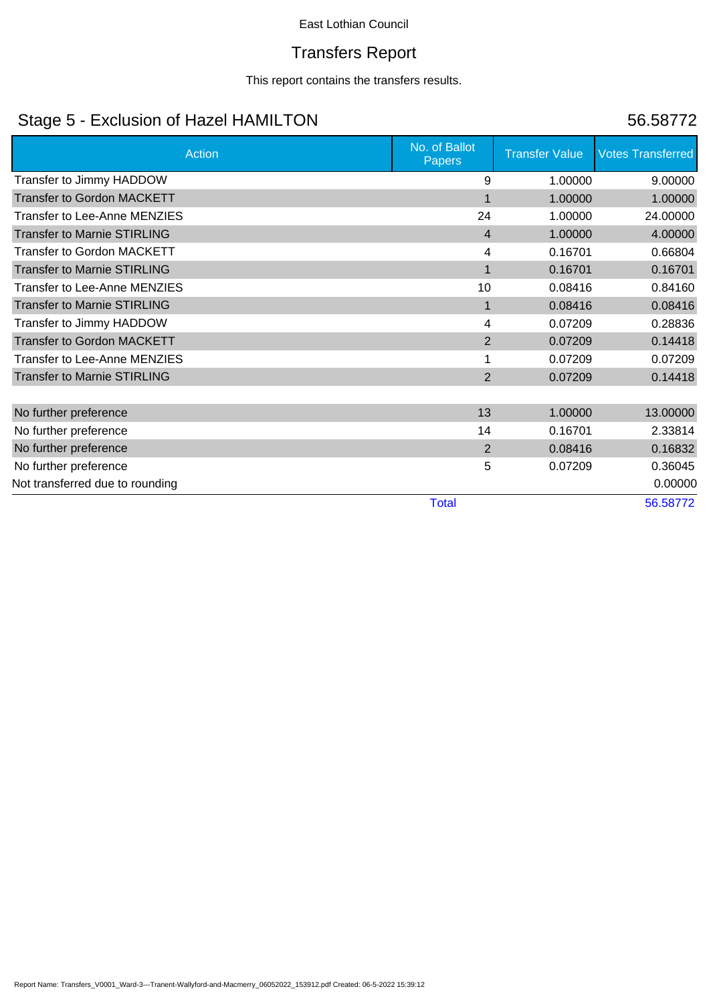## Transfers Report

This report contains the transfers results.

# Stage 5 - Exclusion of Hazel HAMILTON 56.58772

| <b>Action</b>                      | No. of Ballot<br><b>Papers</b> | <b>Transfer Value</b> | <b>Votes Transferred</b> |
|------------------------------------|--------------------------------|-----------------------|--------------------------|
| Transfer to Jimmy HADDOW           | 9                              | 1.00000               | 9.00000                  |
| <b>Transfer to Gordon MACKETT</b>  | $\blacksquare$                 | 1.00000               | 1.00000                  |
| Transfer to Lee-Anne MENZIES       | 24                             | 1.00000               | 24.00000                 |
| <b>Transfer to Marnie STIRLING</b> | $\overline{4}$                 | 1.00000               | 4.00000                  |
| <b>Transfer to Gordon MACKETT</b>  | 4                              | 0.16701               | 0.66804                  |
| <b>Transfer to Marnie STIRLING</b> | 1                              | 0.16701               | 0.16701                  |
| Transfer to Lee-Anne MENZIES       | 10                             | 0.08416               | 0.84160                  |
| <b>Transfer to Marnie STIRLING</b> | $\mathbf{1}$                   | 0.08416               | 0.08416                  |
| Transfer to Jimmy HADDOW           | 4                              | 0.07209               | 0.28836                  |
| <b>Transfer to Gordon MACKETT</b>  | 2                              | 0.07209               | 0.14418                  |
| Transfer to Lee-Anne MENZIES       |                                | 0.07209               | 0.07209                  |
| <b>Transfer to Marnie STIRLING</b> | 2                              | 0.07209               | 0.14418                  |
|                                    |                                |                       |                          |
| No further preference              | 13                             | 1.00000               | 13.00000                 |
| No further preference              | 14                             | 0.16701               | 2.33814                  |
| No further preference              | 2                              | 0.08416               | 0.16832                  |
| No further preference              | 5                              | 0.07209               | 0.36045                  |
| Not transferred due to rounding    |                                |                       | 0.00000                  |
|                                    | <b>Total</b>                   |                       | 56.58772                 |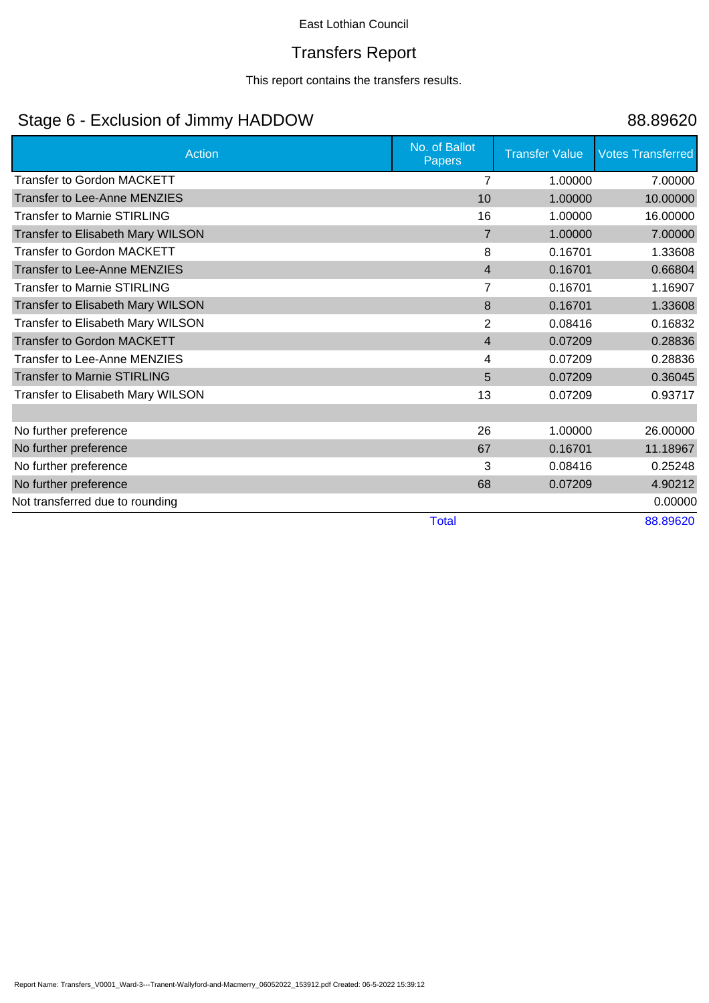## Transfers Report

This report contains the transfers results.

# Stage 6 - Exclusion of Jimmy HADDOW 88.89620

| <b>Action</b>                       | No. of Ballot<br><b>Papers</b> | <b>Transfer Value</b> | <b>Votes Transferred</b> |
|-------------------------------------|--------------------------------|-----------------------|--------------------------|
| <b>Transfer to Gordon MACKETT</b>   | 7                              | 1.00000               | 7.00000                  |
| <b>Transfer to Lee-Anne MENZIES</b> | 10                             | 1.00000               | 10.00000                 |
| <b>Transfer to Marnie STIRLING</b>  | 16                             | 1.00000               | 16.00000                 |
| Transfer to Elisabeth Mary WILSON   | $\overline{7}$                 | 1.00000               | 7.00000                  |
| <b>Transfer to Gordon MACKETT</b>   | 8                              | 0.16701               | 1.33608                  |
| <b>Transfer to Lee-Anne MENZIES</b> | $\overline{4}$                 | 0.16701               | 0.66804                  |
| <b>Transfer to Marnie STIRLING</b>  | 7                              | 0.16701               | 1.16907                  |
| Transfer to Elisabeth Mary WILSON   | 8                              | 0.16701               | 1.33608                  |
| Transfer to Elisabeth Mary WILSON   | $\overline{2}$                 | 0.08416               | 0.16832                  |
| <b>Transfer to Gordon MACKETT</b>   | $\overline{4}$                 | 0.07209               | 0.28836                  |
| <b>Transfer to Lee-Anne MENZIES</b> | 4                              | 0.07209               | 0.28836                  |
| <b>Transfer to Marnie STIRLING</b>  | 5                              | 0.07209               | 0.36045                  |
| Transfer to Elisabeth Mary WILSON   | 13                             | 0.07209               | 0.93717                  |
|                                     |                                |                       |                          |
| No further preference               | 26                             | 1.00000               | 26.00000                 |
| No further preference               | 67                             | 0.16701               | 11.18967                 |
| No further preference               | 3                              | 0.08416               | 0.25248                  |
| No further preference               | 68                             | 0.07209               | 4.90212                  |
| Not transferred due to rounding     |                                |                       | 0.00000                  |
|                                     | <b>Total</b>                   |                       | 88.89620                 |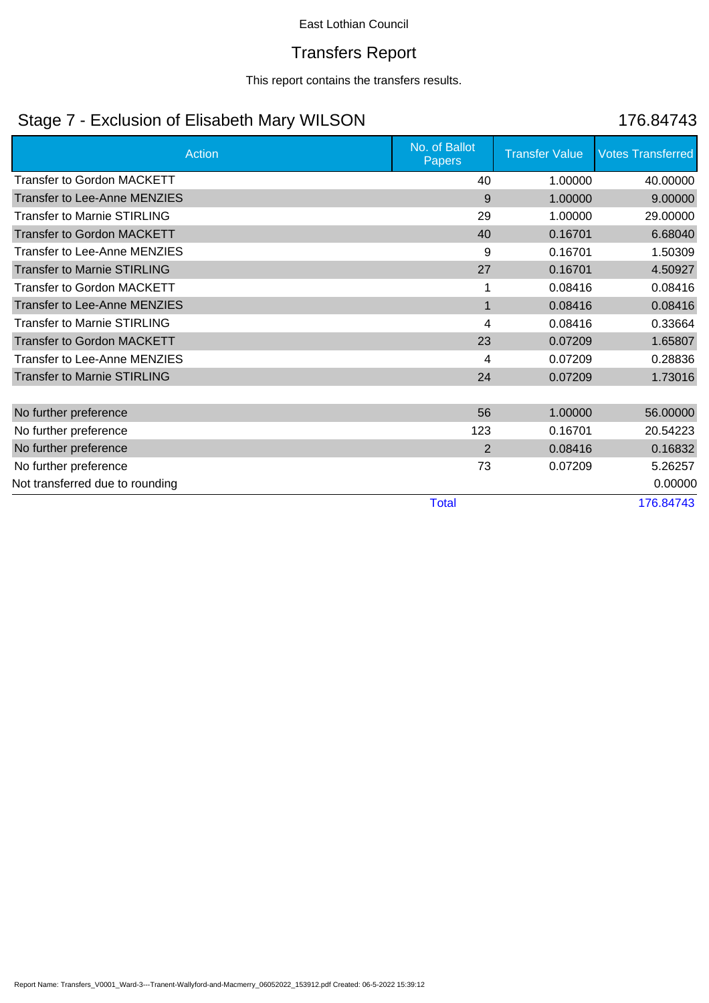## Transfers Report

This report contains the transfers results.

# Stage 7 - Exclusion of Elisabeth Mary WILSON 176.84743

| <b>Action</b>                       | No. of Ballot<br><b>Papers</b> | <b>Transfer Value</b> | <b>Votes Transferred</b> |
|-------------------------------------|--------------------------------|-----------------------|--------------------------|
| <b>Transfer to Gordon MACKETT</b>   | 40                             | 1.00000               | 40.00000                 |
| <b>Transfer to Lee-Anne MENZIES</b> | 9                              | 1.00000               | 9.00000                  |
| <b>Transfer to Marnie STIRLING</b>  | 29                             | 1.00000               | 29.00000                 |
| <b>Transfer to Gordon MACKETT</b>   | 40                             | 0.16701               | 6.68040                  |
| Transfer to Lee-Anne MENZIES        | 9                              | 0.16701               | 1.50309                  |
| <b>Transfer to Marnie STIRLING</b>  | 27                             | 0.16701               | 4.50927                  |
| <b>Transfer to Gordon MACKETT</b>   |                                | 0.08416               | 0.08416                  |
| <b>Transfer to Lee-Anne MENZIES</b> | 1                              | 0.08416               | 0.08416                  |
| <b>Transfer to Marnie STIRLING</b>  | 4                              | 0.08416               | 0.33664                  |
| <b>Transfer to Gordon MACKETT</b>   | 23                             | 0.07209               | 1.65807                  |
| Transfer to Lee-Anne MENZIES        | 4                              | 0.07209               | 0.28836                  |
| <b>Transfer to Marnie STIRLING</b>  | 24                             | 0.07209               | 1.73016                  |
|                                     |                                |                       |                          |
| No further preference               | 56                             | 1.00000               | 56.00000                 |
| No further preference               | 123                            | 0.16701               | 20.54223                 |
| No further preference               | 2                              | 0.08416               | 0.16832                  |
| No further preference               | 73                             | 0.07209               | 5.26257                  |
| Not transferred due to rounding     |                                |                       | 0.00000                  |
|                                     | <b>Total</b>                   |                       | 176.84743                |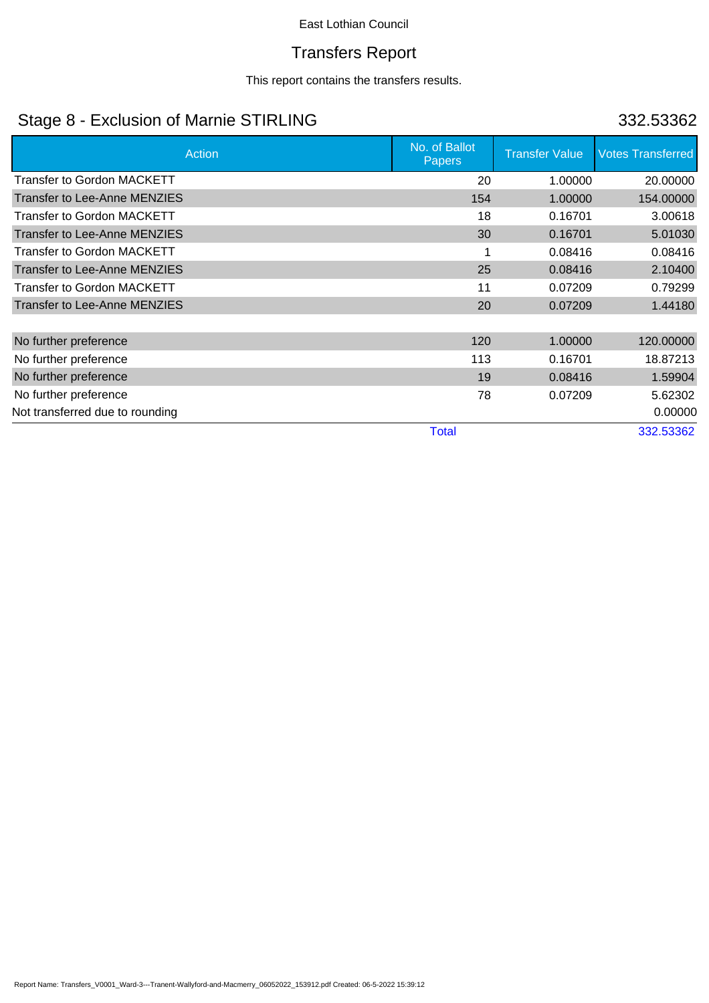## Transfers Report

This report contains the transfers results.

# Stage 8 - Exclusion of Marnie STIRLING 332.53362

| Action                              | No. of Ballot<br><b>Papers</b> | <b>Transfer Value</b> | <b>Votes Transferred</b> |
|-------------------------------------|--------------------------------|-----------------------|--------------------------|
| <b>Transfer to Gordon MACKETT</b>   | 20                             | 1.00000               | 20.00000                 |
| <b>Transfer to Lee-Anne MENZIES</b> | 154                            | 1.00000               | 154.00000                |
| <b>Transfer to Gordon MACKETT</b>   | 18                             | 0.16701               | 3.00618                  |
| <b>Transfer to Lee-Anne MENZIES</b> | 30                             | 0.16701               | 5.01030                  |
| <b>Transfer to Gordon MACKETT</b>   |                                | 0.08416               | 0.08416                  |
| <b>Transfer to Lee-Anne MENZIES</b> | 25                             | 0.08416               | 2.10400                  |
| <b>Transfer to Gordon MACKETT</b>   | 11                             | 0.07209               | 0.79299                  |
| Transfer to Lee-Anne MENZIES        | 20                             | 0.07209               | 1.44180                  |
|                                     |                                |                       |                          |
| No further preference               | 120                            | 1.00000               | 120.00000                |
| No further preference               | 113                            | 0.16701               | 18.87213                 |
| No further preference               | 19                             | 0.08416               | 1.59904                  |
| No further preference               | 78                             | 0.07209               | 5.62302                  |
| Not transferred due to rounding     |                                |                       | 0.00000                  |
|                                     | <b>Total</b>                   |                       | 332.53362                |